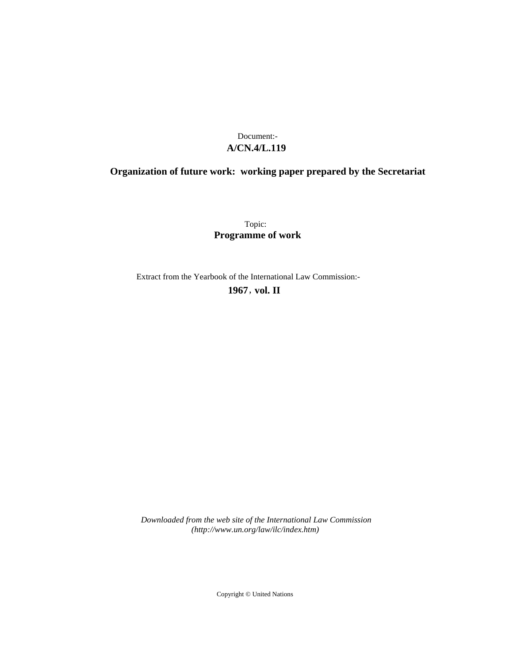# **A/CN.4/L.119** Document:-

# **Organization of future work: working paper prepared by the Secretariat**

Topic: **Programme of work**

Extract from the Yearbook of the International Law Commission:-

**1967** , **vol. II**

*Downloaded from the web site of the International Law Commission (http://www.un.org/law/ilc/index.htm)*

Copyright © United Nations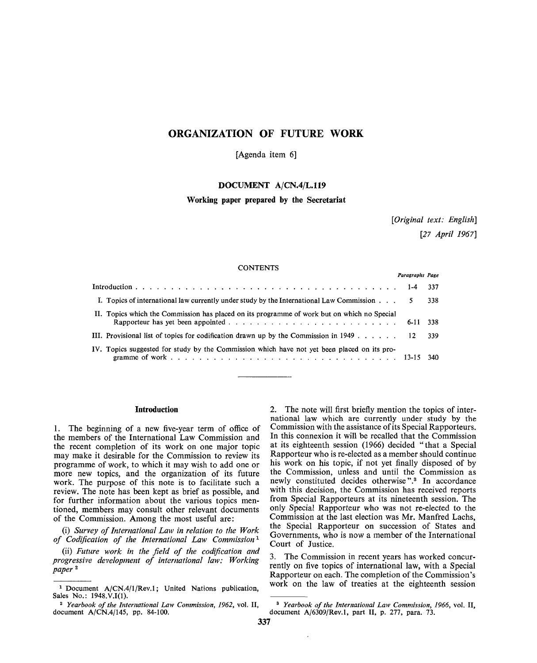# ORGANIZATION OF FUTURE WORK

[Agenda item 6]

# **DOCUMENT A/CN.4/L.119**

## **Working paper prepared by the Secretariat**

*[Original text: English] [27 April 1967]*

### **CONTENTS**

| Paragraphs Page                                                                                     |  |       |
|-----------------------------------------------------------------------------------------------------|--|-------|
|                                                                                                     |  | 337   |
| I. Topics of international law currently under study by the International Law Commission $\ldots$ . |  | 338   |
| II. Topics which the Commission has placed on its programme of work but on which no Special         |  |       |
| III. Provisional list of topics for codification drawn up by the Commission in $1949$ 12            |  | - 339 |
| IV. Topics suggested for study by the Commission which have not yet been placed on its pro-         |  |       |

#### **Introduction**

**1.** The beginning of a new five-year term of office of the members of the International Law Commission and the recent completion of its work on one major topic may make it desirable for the Commission to review its programme of work, to which it may wish to add one or more new topics, and the organization of its future work. The purpose of this note is to facilitate such a review. The note has been kept as brief as possible, and for further information about the various topics mentioned, members may consult other relevant documents of the Commission. Among the most useful are:

(i) *Survey of International Law in relation to the Work of Codification of the International Law Commission<sup>1</sup>*

(ii) *Future work in the field of the codification and progressive development of international law: Working paper* 2

2. The note will first briefly mention the topics of international law which are currently under study by the Commission with the assistance of its Special Rapporteurs. In this connexion it will be recalled that the Commission at its eighteenth session (1966) decided "that a Special Rapporteur who is re-elected as a member should continue his work on his topic, if not yet finally disposed of by the Commission, unless and until the Commission as newly constituted decides otherwise".<sup>3</sup> In accordance with this decision, the Commission has received reports from Special Rapporteurs at its nineteenth session. The only Special Rapporteur who was not re-elected to the Commission at the last election was Mr. Manfred Lachs, the Special Rapporteur on succession of States and Governments, who is now a member of the International Court of Justice.

3. The Commission in recent years has worked concurrently on five topics of international law, with a Special Rapporteur on each. The completion of the Commission's work on the law of treaties at the eighteenth session

<sup>&</sup>lt;sup>1</sup> Document A/CN.4/1/Rev.1; United Nations publication, Sales No.: 1948.V.I(1).

<sup>2</sup>  *Yearbook of the International Law Commission, 1962,* vol. II, document A/CN.4/145, pp. 84-100.

<sup>3</sup>  *Yearbook of the International Law Commission, 1966,* vol. II, document A/6309/Rev.l, part II, p. 277, para. 73.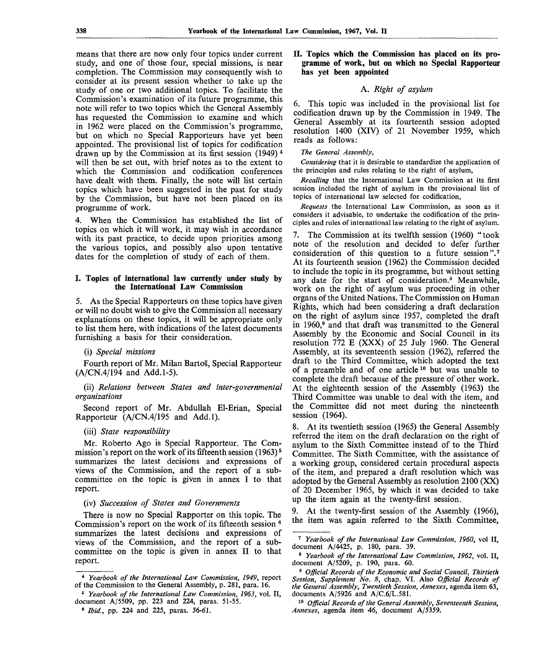means that there are now only four topics under current study, and one of those four, special missions, is near completion. The Commission may consequently wish to consider at its present session whether to take up the study of one or two additional topics. To facilitate the Commission's examination of its future programme, this note will refer to two topics which the General Assembly has requested the Commission to examine and which in 1962 were placed on the Commission's programme, but on which no Special Rapporteurs have yet been appointed. The provisional list of topics for codification drawn up by the Commission at its first session (1949) 4 will then be set out, with brief notes as to the extent to which the Commission and codification conferences have dealt with them. Finally, the note will list certain topics which have been suggested in the past for study by the Commission, but have not been placed on its programme of work.

4. When the Commission has established the list of topics on which it will work, it may wish in accordance with its past practice, to decide upon priorities among the various topics, and possibly also upon tentative dates for the completion of study of each of them.

### **I. Topics of international law currently under study by the International Law Commission**

5. As the Special Rapporteurs on these topics have given or will no doubt wish to give the Commission all necessary explanations on these topics, it will be appropriate only to list them here, with indications of the latest documents furnishing a basis for their consideration.

### (i) *Special missions*

Fourth report of Mr. Milan Bartos, Special Rapporteur (A/CN.4/194 and Add.1-5).

(ii) *Relations between States and inter-governmental organizations*

Second report of Mr. Abdullah El-Erian, Special Rapporteur (A/CN.4/195 and Add.l).

### (iii) *State responsibility*

Mr. Roberto Ago is Special Rapporteur. The Commission's report on the work of its fifteenth session  $(1963)^5$ summarizes the latest decisions and expressions of views of the Commission, and the report of a subcommittee on the topic is given in annex I to that report.

# (iv) *Succession of States and Governments*

There is now no Special Rapporter on this topic. The Commission's report on the work of its fifteenth session  $\epsilon$ summarizes the latest decisions and expressions of views of the Commission, and the report of a subcommittee on the topic is given in annex **II** to that report.

# **II. Topics which the Commission has placed on its programme of work, but on which no Special Rapporteur has yet been appointed**

# A. *Right of asylum*

6. This topic was included in the provisional list for codification drawn up by the Commission in 1949. The General Assembly at its fourteenth session adopted resolution 1400 (XIV) of 21 November 1959, which reads as follows:

#### *The General Assembly,*

*Considering* that it is desirable to standardize the application of the principles and rules relating to the right of asylum,

*Recalling* that the International Law Commission at its first session included the right of asylum in the provisional list of topics of international law selected for codification,

*Requests* the International Law Commission, as soon as it considers it advisable, to undertake the codification of the principles and rules of international law relating to the right of asylum.

7. The Commission at its twelfth session (1960) "took note of the resolution and decided to defer further consideration of this question to a future session".<sup>7</sup> At its fourteenth session (1962) the Commission decided to include the topic in its programme, but without setting any date for the start of consideration.<sup>8</sup> Meanwhile, work on the right of asylum was proceeding in other organs of the United Nations. The Commission on Human Rights, which had been considering a draft declaration on the right of asylum since 1957, completed the draft in I960,<sup>9</sup> and that draft was transmitted to the General Assembly by the Economic and Social Council in its resolution 772 E (XXX) of 25 July 1960. The General Assembly, at its seventeenth session (1962), referred the draft to the Third Committee, which adopted the text of a preamble and of one article<sup>10</sup> but was unable to complete the draft because of the pressure of other work. At the eighteenth session of the Assembly (1963) the Third Committee was unable to deal with the item, and the Committee did not meet during the nineteenth session (1964).

8. At its twentieth session (1965) the General Assembly referred the item on the draft declaration on the right of asylum to the Sixth Committee instead of to the Third Committee. The Sixth Committee, with the assistance of a working group, considered certain procedural aspects of the item, and prepared a draft resolution which was adopted by the General Assembly as resolution 2100 (XX) of 20 December 1965, by which it was decided to take up the item again at the twenty-first session.

9. At the twenty-first session of the Assembly (1966), the item was again referred to the Sixth Committee,

<sup>4</sup>  *Yearbook of the International Law Commission, 1949,* report of the Commission to the General Assembly, p. 281, para. 16.

<sup>0</sup>  *Yearbook of the International Law Commission, 1963,* vol. II, document A/5509, pp. 223 and 224, paras. 51-55.

<sup>9</sup>  *Ibid.,* pp. 224 and 225, paras. 56-61.

<sup>7</sup>  *Yearbook of the International Law Commission, 1960,* vol II, document A/4425, p. 180, para. 39.

<sup>8</sup>  *Yearbook of the International Law Commission, 1962,* vol. II, document A/5209, p. 190, para. 60.

<sup>9</sup>  *Official Records of the Economic and Social Council, Thirtieth Session, Supplement No. 8,* chap. VI. Also *Official Records of the General Assembly, Twentieth Session, Annexes,* agenda item 63, documents  $A/5926$  and  $A/C.6/L.581$ .

<sup>10</sup>  *Official Records of the General Assembly, Seventeenth Session, Annexes,* agenda item 46, document A/5359.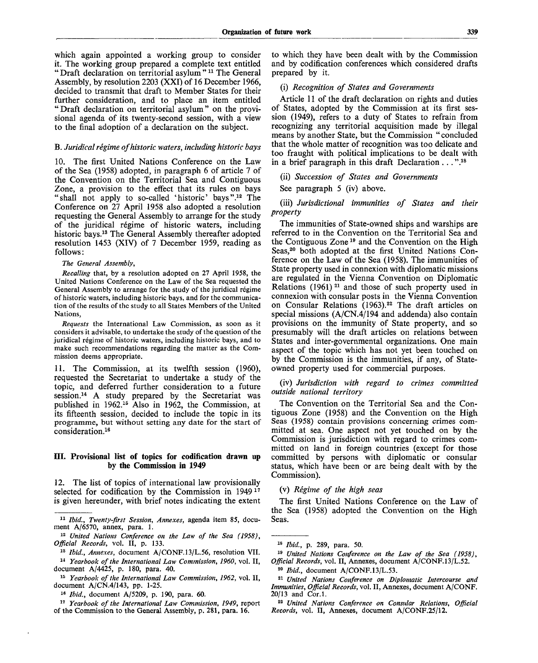which again appointed a working group to consider it. The working group prepared a complete text entitled " Draft declaration on territorial asylum "<sup>11</sup> The General Assembly, by resolution 2203 (XXI) of 16 December 1966, decided to transmit that draft to Member States for their further consideration, and to place an item entitled " Draft declaration on territorial asylum" on the provisional agenda of its twenty-second session, with a view to the final adoption of a declaration on the subject.

### B. *Juridical regime of historic waters, including historic bays*

10. The first United Nations Conference on the Law of the Sea (1958) adopted, in paragraph 6 of article 7 of the Convention on the Territorial Sea and Contiguous Zone, a provision to the effect that its rules on bays "shall not apply to so-called 'historic' bays".<sup>12</sup> The Conference on 27 April 1958 also adopted a resolution requesting the General Assembly to arrange for the study of the juridical regime of historic waters, including historic bays.<sup>13</sup> The General Assembly thereafter adopted resolution 1453 (XIV) of 7 December 1959, reading as follows:

#### *The General Assembly,*

*Recalling* that, by a resolution adopted on 27 April 1958, the United Nations Conference on the Law of the Sea requested the General Assembly to arrange for the study of the juridical régime of historic waters, including historic bays, and for the communication of the results of the study to all States Members of the United Nations,

*Requests* the International Law Commission, as soon as it considers it advisable, to undertake the study of the question of the juridical régime of historic waters, including historic bays, and to make such recommendations regarding the matter as the Commission deems appropriate.

11. The Commission, at its twelfth session (1960), requested the Secretariat to undertake a study of the topic, and deferred further consideration to a future session.<sup>14</sup> A study prepared by the Secretariat was published in 1962.<sup>15</sup> Also in 1962, the Commission, at its fifteenth session, decided to include the topic in its programme, but without setting any date for the start of consideration.<sup>16</sup>

### **HI. Provisional list of topics for codification drawn up by the Commission in 1949**

12. The list of topics of international law provisionally selected for codification by the Commission in  $1949<sup>17</sup>$ is given hereunder, with brief notes indicating the extent

17  *Yearbook of the International Law Commission, 1949,* report of the Commission to the General Assembly, p. 281, para. 16.

to which they have been dealt with by the Commission and by codification conferences which considered drafts prepared by it.

### (i) *Recognition of States and Governments*

Article 11 of the draft declaration on rights and duties of States, adopted by the Commission at its first session (1949), refers to a duty of States to refrain from recognizing any territorial acquisition made by illegal means by another State, but the Commission " concluded that the whole matter of recognition was too delicate and too fraught with political implications to be dealt with in a brief paragraph in this draft Declaration . . . ".<sup>18</sup>

(ii) *Succession of States and Governments*

See paragraph 5 (iv) above.

(iii) *Jurisdictional immunities of States and their property*

The immunities of State-owned ships and warships are referred to in the Convention on the Territorial Sea and the Contiguous Zone<sup>19</sup> and the Convention on the High Seas,<sup>20</sup> both adopted at the first United Nations Conference on the Law of the Sea (1958). The immunities of State property used in connexion with diplomatic missions are regulated in the Vienna Convention on Diplomatic Relations (1961)<sup>21</sup> and those of such property used in connexion with consular posts in the Vienna Convention on Consular Relations (1963).<sup>22</sup> The draft articles on special missions (A/CN.4/194 and addenda) also contain provisions on the immunity of State property, and so presumably will the draft articles on relations between States and inter-governmental organizations. One main aspect of the topic which has not yet been touched on by the Commission is the immunities, if any, of Stateowned property used for commercial purposes.

(iv) *Jurisdiction with regard to crimes committed outside national territory*

The Convention on the Territorial Sea and the Contiguous Zone (1958) and the Convention on the High Seas (1958) contain provisions concerning crimes committed at sea. One aspect not yet touched on by the Commission is jurisdiction with regard to crimes committed on land in foreign countries (except for those committed by persons with diplomatic or consular status, which have been or are being dealt with by the Commission).

# (v) *Regime of the high seas*

The first United Nations Conference on the Law of the Sea (1958) adopted the Convention on the High Seas.

<sup>11</sup>  *Ibid., Twenty-first Session, Annexes,* agenda item 85, document A/6570, annex, para. 1.

<sup>12</sup>  *United Nations Conference on the Law of the Sea (1958), Official Records,* vol. II, p. 133.

<sup>13</sup>  *Ibid., Annexes,* document A/CONF.13/L.56, resolution VII.

<sup>14</sup>  *Yearbook of the International Law Commission, 1960,* vol. II, document A/4425, p. 180, para. 40.

<sup>15</sup>  *Yearbook of the International Law Commission, 1962,* vol. II, document A/CN.4/143, pp. 1-25.

<sup>18</sup>  *Ibid.,* document A/5209, p. 190, para. 60.

<sup>18</sup>  *Ibid.,* p. 289, para. 50.

<sup>19</sup>  *United Nations Conference on the Law of the Sea (1958), Official Records,* vol. II, Annexes, document A/CONF.13/L.52.

<sup>20</sup>  *Ibid.,* document A/CONF.13/L.53.

<sup>21</sup>  *United Nations Conference on Diplomatic Intercourse and Immunities, Official Records,* vol. II, Annexes, document A/CONF. 20/13 and Cor.l.

<sup>22</sup>  *United Nations Conference on Consular Relations, Official Records,* vol. II, Annexes, document A/CONF.25/12.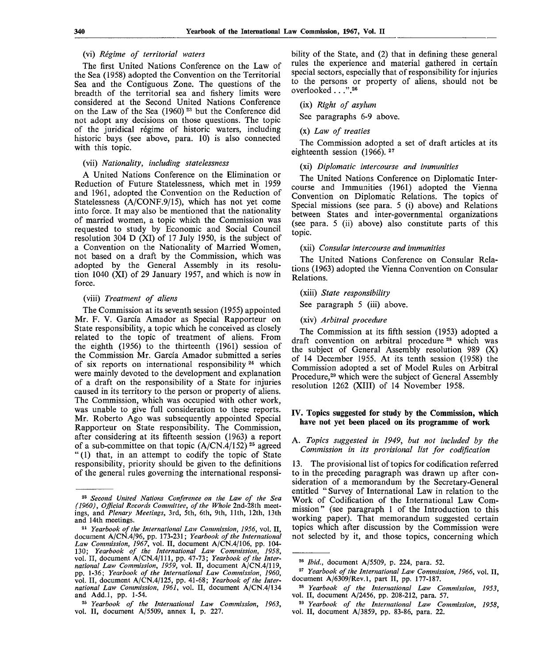### (vi) *Regime of territorial waters*

The first United Nations Conference on the Law of the Sea (1958) adopted the Convention on the Territorial Sea and the Contiguous Zone. The questions of the breadth of the territorial sea and fishery limits were considered at the Second United Nations Conference on the Law of the Sea (1960)<sup>23</sup> but the Conference did not adopt any decisions on those questions. The topic of the juridical regime of historic waters, including historic bays (see above, para. 10) is also connected with this topic.

# (vii) *Nationality, including statelessness*

A United Nations Conference on the Elimination or Reduction of Future Statelessness, which met in 1959 and 1961, adopted the Convention on the Reduction of Statelessness (A/CONF.9/15), which has not yet come into force. It may also be mentioned that the nationality of married women, a topic which the Commission was requested to study by Economic and Social Council resolution 304 D (XI) of 17 July 1950, is the subject of a Convention on the Nationality of Married Women, not based on a draft by the Commission, which was adopted by the General Assembly in its resolution 1040 (XI) of 29 January 1957, and which is now in force.

### (viii) *Treatment of aliens*

The Commission at its seventh session (1955) appointed Mr. F. V. Garcia Amador as Special Rapporteur on State responsibility, a topic which he conceived as closely related to the topic of treatment of aliens. From the eighth (1956) to the thirteenth (1961) session of the Commission Mr. Garcia Amador submitted a series of six reports on international responsibility<sup>24</sup> which were mainly devoted to the development and explanation of a draft on the responsibility of a State for injuries caused in its territory to the person or property of aliens. The Commission, which was occupied with other work, was unable to give full consideration to these reports. Mr. Roberto Ago was subsequently appointed Special Rapporteur on State responsibility. The Commission, after considering at its fifteenth session (1963) a report of a sub-committee on that topic  $(A/CN.4/152)$ <sup>25</sup> agreed " (1) that, in an attempt to codify the topic of State responsibility, priority should be given to the definitions of the general rules governing the international responsibility of the State, and (2) that in defining these general rules the experience and material gathered in certain special sectors, especially that of responsibility for injuries to the persons or property of aliens, should not be overlooked . . .".<sup>26</sup>

## (ix) *Right of asylum*

See paragraphs 6-9 above.

# (x) *Law of treaties*

The Commission adopted a set of draft articles at its eighteenth session  $(1966)$ .<sup>27</sup>

# (xi) *Diplomatic intercourse and immunities*

The United Nations Conference on Diplomatic Intercourse and Immunities (1961) adopted the Vienna Convention on Diplomatic Relations. The topics of Special missions (see para. 5 (i) above) and Relations between States and inter-governmental organizations (see para. 5 (ii) above) also constitute parts of this topic.

(xii) *Consular intercourse and immunities*

The United Nations Conference on Consular Relations (1963) adopted the Vienna Convention on Consular Relations.

# (xiii) *State responsibility*

See paragraph 5 (iii) above.

(xiv) *Arbitral procedure*

The Commission at its fifth session (1953) adopted a draft convention on arbitral procedure<sup>28</sup> which was the subject of General Assembly resolution 989 (X) of 14 December 1955. At its tenth session (1958) the Commission adopted a set of Model Rules on Arbitral Procedure,<sup>29</sup> which were the subject of General Assembly resolution 1262 (XIII) of 14 November 1958.

### **IV. Topics suggested for study by the Commission, which have not yet been placed on its programme of work**

# A. *Topics suggested in 1949, but not included by the Commission in its provisional list for codification*

13. The provisional list of topics for codification referred to in the preceding paragraph was drawn up after consideration of a memorandum by the Secretary-General entitled " Survey of International Law in relation to the Work of Codification of the International Law Commission" (see paragraph 1 of the Introduction to this working paper). That memorandum suggested certain topics which after discussion by the Commission were not selected by it, and those topics, concerning which

<sup>23</sup>  *Second United Nations Conference on the Law of the Sea (1960), Official Records Committee, of the Whole* 2nd-28th meetings, and *Plenary Meetings,* 3rd, 5th, 6th, 9th, 11th, 12th, 13th and 14th meetings.

<sup>21</sup>  *Yearbook of the International Law Commission, 1956,* vol. II, document A/CN.4/96, pp. 173-231; *Yearbook of the International Law Commission, 1967,* vol. II, document A/CN.4/106, pp. 104- 130; *Yearbook of the International Law Commission, 1958,* vol. II, document A/CN.4/111, pp. 47-73; *Yearbook of the International Law Commission, 1959,* vol. II, document A/CN.4/119, pp. 1-36; *Yearbook of the International Law Commission, 1960,* vol. II, document A/CN.4/125, pp. 41-68; *Yearbook of the International Law Commission, 1961,* vol. II, document A/CN.4/134 and Add.l, pp. 1-54.

<sup>25</sup>  *Yearbook of the International Law Commission, 1963,* vol. II, document A/5509, annex I, p. 227.

<sup>26</sup>  *Ibid.,* document A/5509, p. 224, para. 52.

<sup>27</sup>  *Yearbook of the International Law Commission, 1966,* vol. II, document A/6309/Rev.l, part II, pp. 177-187.

<sup>28</sup>  *Yearbook of the International Law Commission, 1953,* vol. II, document A/2456, pp. 208-212, para. 57.

<sup>29</sup>  *Yearbook of the International Law Commission, 1958,* vol. II, document A/3859, pp. 83-86, para. 22.